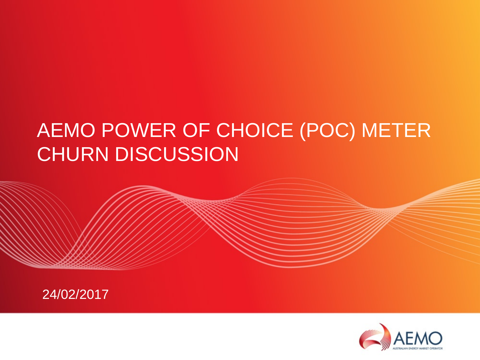# AEMO POWER OF CHOICE (POC) METER CHURN DISCUSSION



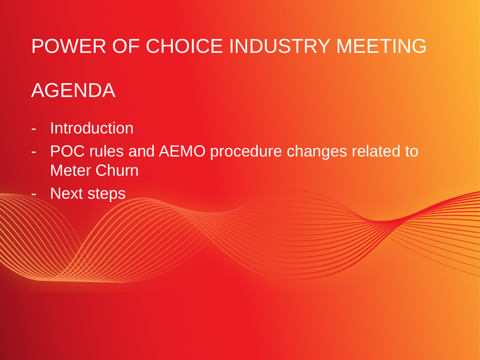# POWER OF CHOICE INDUSTRY MEETING

# AGENDA

- Introduction
- POC rules and AEMO procedure changes related to Meter Churn
- Next steps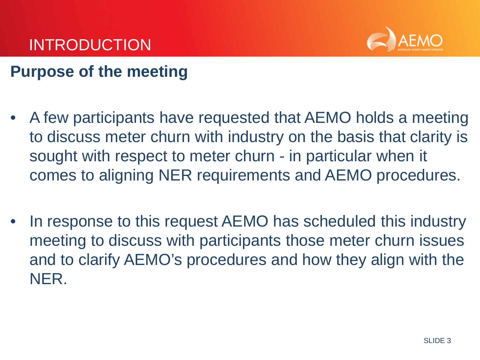

## **Purpose of the meeting**

- A few participants have requested that AEMO holds a meeting to discuss meter churn with industry on the basis that clarity is sought with respect to meter churn - in particular when it comes to aligning NER requirements and AEMO procedures.
- In response to this request AEMO has scheduled this industry meeting to discuss with participants those meter churn issues and to clarify AEMO's procedures and how they align with the NER.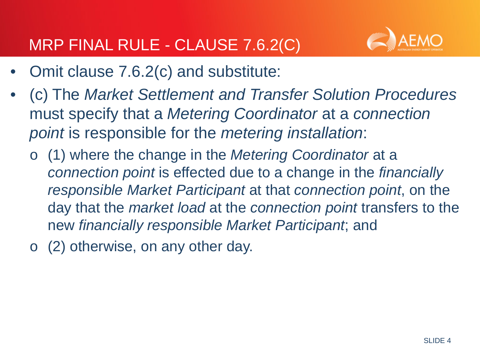

- Omit clause 7.6.2(c) and substitute:
- (c) The *Market Settlement and Transfer Solution Procedures*  must specify that a *Metering Coordinator* at a *connection point* is responsible for the *metering installation*:
	- o (1) where the change in the *Metering Coordinator* at a *connection point* is effected due to a change in the *financially responsible Market Participant* at that *connection point*, on the day that the *market load* at the *connection point* transfers to the new *financially responsible Market Participant*; and
	- o (2) otherwise, on any other day.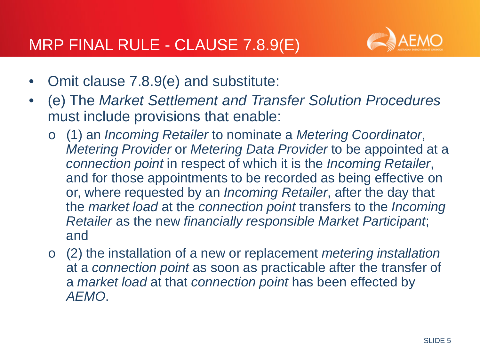

- Omit clause 7.8.9(e) and substitute:
- (e) The *Market Settlement and Transfer Solution Procedures*  must include provisions that enable:
	- o (1) an *Incoming Retailer* to nominate a *Metering Coordinator*, *Metering Provider* or *Metering Data Provider* to be appointed at a *connection point* in respect of which it is the *Incoming Retailer*, and for those appointments to be recorded as being effective on or, where requested by an *Incoming Retailer*, after the day that the *market load* at the *connection point* transfers to the *Incoming Retailer* as the new *financially responsible Market Participant*; and
	- o (2) the installation of a new or replacement *metering installation*  at a *connection point* as soon as practicable after the transfer of a *market load* at that *connection point* has been effected by *AEMO*.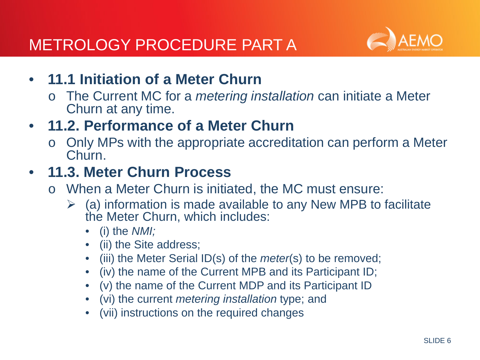

- **11.1 Initiation of a Meter Churn** 
	- o The Current MC for a *metering installation* can initiate a Meter Churn at any time.
- **11.2. Performance of a Meter Churn**
	- Only MPs with the appropriate accreditation can perform a Meter Churn.

### • **11.3. Meter Churn Process**

- o When a Meter Churn is initiated, the MC must ensure:
	- $\triangleright$  (a) information is made available to any New MPB to facilitate the Meter Churn, which includes:
		- (i) the *NMI;*
		- (ii) the Site address;
		- (iii) the Meter Serial ID(s) of the *meter*(s) to be removed;
		- (iv) the name of the Current MPB and its Participant ID;
		- (v) the name of the Current MDP and its Participant ID
		- (vi) the current *metering installation* type; and
		- (vii) instructions on the required changes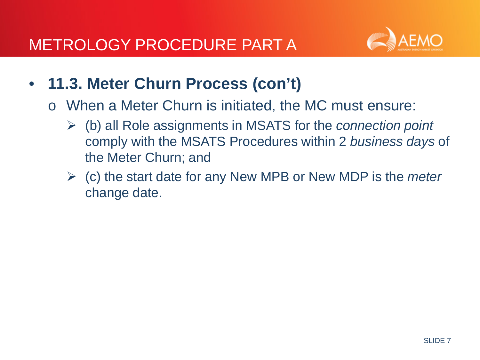

- **11.3. Meter Churn Process (con't)**
	- o When a Meter Churn is initiated, the MC must ensure:
		- (b) all Role assignments in MSATS for the *connection point*  comply with the MSATS Procedures within 2 *business days* of the Meter Churn; and
		- (c) the start date for any New MPB or New MDP is the *meter*  change date.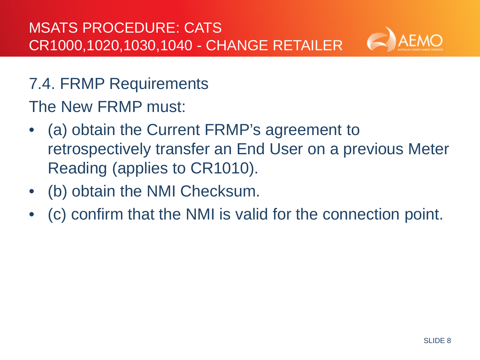

7.4. FRMP Requirements

The New FRMP must:

- (a) obtain the Current FRMP's agreement to retrospectively transfer an End User on a previous Meter Reading (applies to CR1010).
- (b) obtain the NMI Checksum.
- (c) confirm that the NMI is valid for the connection point.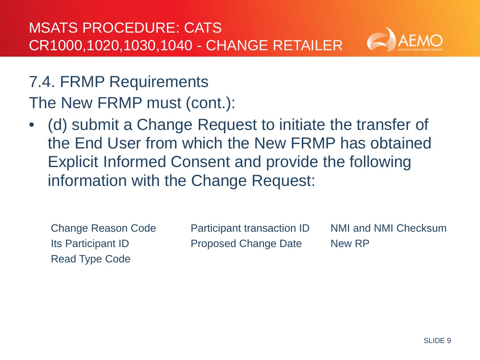

7.4. FRMP Requirements The New FRMP must (cont.):

• (d) submit a Change Request to initiate the transfer of the End User from which the New FRMP has obtained Explicit Informed Consent and provide the following information with the Change Request:

**Change Reason Code Its Participant ID** • **Its Participant ID** Read Type Code

Participant transaction ID NMI and NMI Checksum Proposed Change Date New RP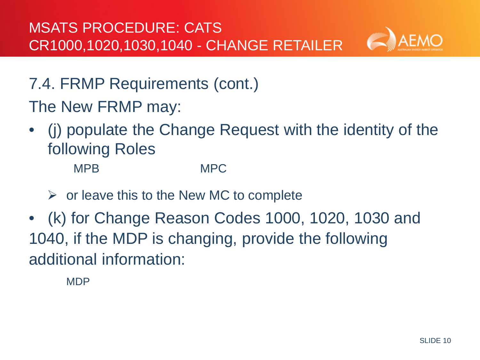

- 7.4. FRMP Requirements (cont.)
- The New FRMP may:
- (j) populate the Change Request with the identity of the following Roles**:**

**NMPB** M MPB MPC

- $\triangleright$  or leave this to the New MC to complete
- (k) for Change Reason Codes 1000, 1020, 1030 and 1040, if the MDP is changing, provide the following additional information:

**MDP**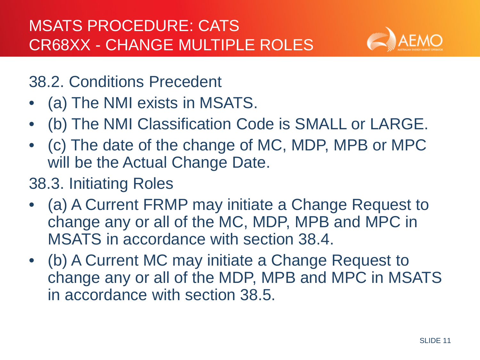

### 38.2. Conditions Precedent

- (a) The NMI exists in MSATS.
- (b) The NMI Classification Code is SMALL or LARGE.
- (c) The date of the change of MC, MDP, MPB or MPC will be the Actual Change Date.

## 38.3. Initiating Roles

- (a) A Current FRMP may initiate a Change Request to change any or all of the MC, MDP, MPB and MPC in MSATS in accordance with section 38.4.
- (b) A Current MC may initiate a Change Request to change any or all of the MDP, MPB and MPC in MSATS in accordance with section 38.5.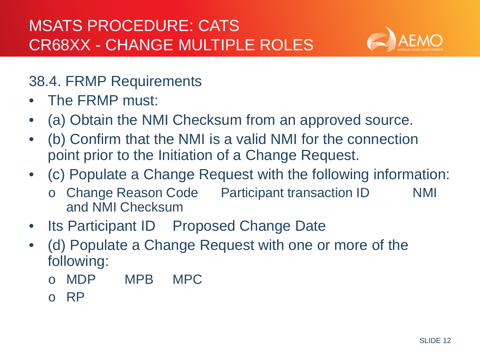

### 38.4. FRMP Requirements

- The FRMP must:
- (a) Obtain the NMI Checksum from an approved source.
- (b) Confirm that the NMI is a valid NMI for the connection point prior to the Initiation of a Change Request.
- (c) Populate a Change Request with the following information:
	- o Change Reason Code Participant transaction ID NMI and NMI Checksum
- Its Participant ID Proposed Change Date
- (d) Populate a Change Request with one or more of the following:
	- o MDP MPB MPC
	- o RP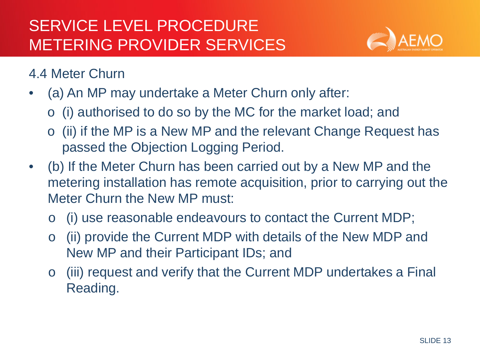

- (a) An MP may undertake a Meter Churn only after:
	- o (i) authorised to do so by the MC for the market load; and
	- o (ii) if the MP is a New MP and the relevant Change Request has passed the Objection Logging Period.
- (b) If the Meter Churn has been carried out by a New MP and the metering installation has remote acquisition, prior to carrying out the Meter Churn the New MP must:
	- o (i) use reasonable endeavours to contact the Current MDP;
	- o (ii) provide the Current MDP with details of the New MDP and New MP and their Participant IDs; and
	- o (iii) request and verify that the Current MDP undertakes a Final Reading.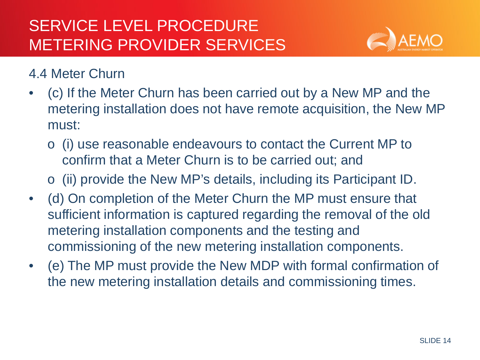

- (c) If the Meter Churn has been carried out by a New MP and the metering installation does not have remote acquisition, the New MP must:
	- o (i) use reasonable endeavours to contact the Current MP to confirm that a Meter Churn is to be carried out; and
	- o (ii) provide the New MP's details, including its Participant ID.
- (d) On completion of the Meter Churn the MP must ensure that sufficient information is captured regarding the removal of the old metering installation components and the testing and commissioning of the new metering installation components.
- (e) The MP must provide the New MDP with formal confirmation of the new metering installation details and commissioning times.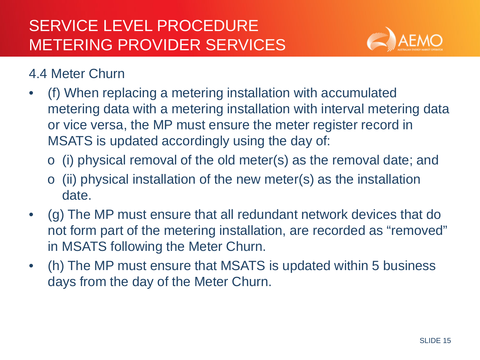

- (f) When replacing a metering installation with accumulated metering data with a metering installation with interval metering data or vice versa, the MP must ensure the meter register record in MSATS is updated accordingly using the day of:
	- o (i) physical removal of the old meter(s) as the removal date; and
	- $\circ$  (ii) physical installation of the new meter(s) as the installation date.
- (g) The MP must ensure that all redundant network devices that do not form part of the metering installation, are recorded as "removed" in MSATS following the Meter Churn.
- (h) The MP must ensure that MSATS is updated within 5 business days from the day of the Meter Churn.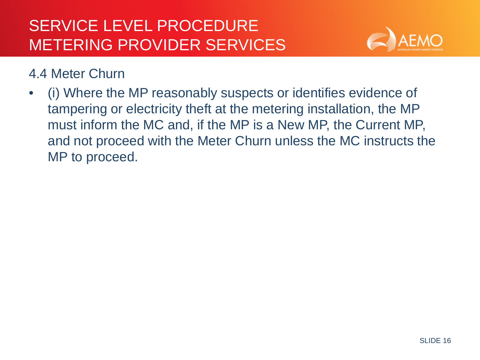

• (i) Where the MP reasonably suspects or identifies evidence of tampering or electricity theft at the metering installation, the MP must inform the MC and, if the MP is a New MP, the Current MP, and not proceed with the Meter Churn unless the MC instructs the MP to proceed.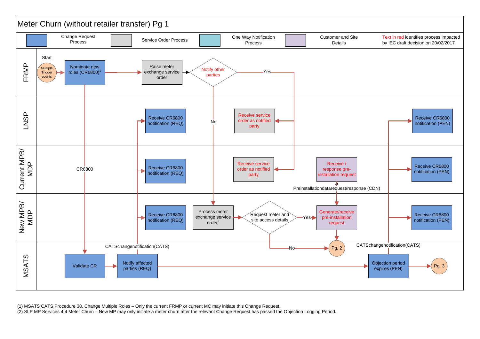

<sup>(1)</sup> MSATS CATS Procedure 38. Change Multiple Roles – Only the current FRMP or current MC may initiate this Change Request.

(2) SLP MP Services 4.4 Meter Churn – New MP may only initiate a meter churn after the relevant Change Request has passed the Objection Logging Period.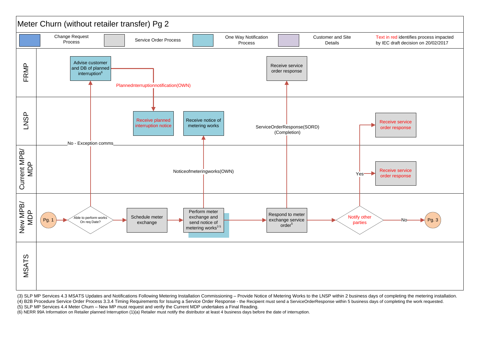

(3) SLP MP Services 4.3 MSATS Updates and Notifications Following Metering Installation Commissioning – Provide Notice of Metering Works to the LNSP within 2 business days of completing the metering installation. (4) B2B Procedure Service Order Process 3.3.4 Timing Requirements for Issuing a Service Order Response - the Recipient must send a ServiceOrderResponse within 5 business days of completing the work requested. (5) SLP MP Services 4.4 Meter Churn – New MP must request and verify the Current MDP undertakes a Final Reading.

(6) NERR 99A Information on Retailer planned Interruption (1)(a) Retailer must notify the distributor at least 4 business days before the date of interruption.